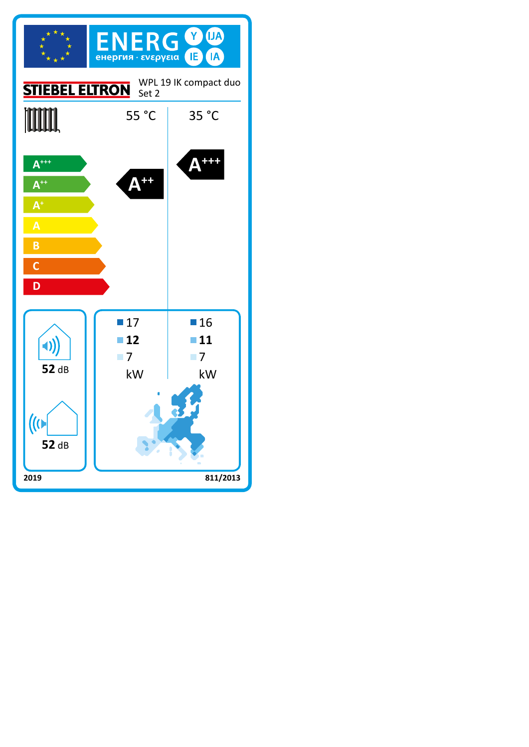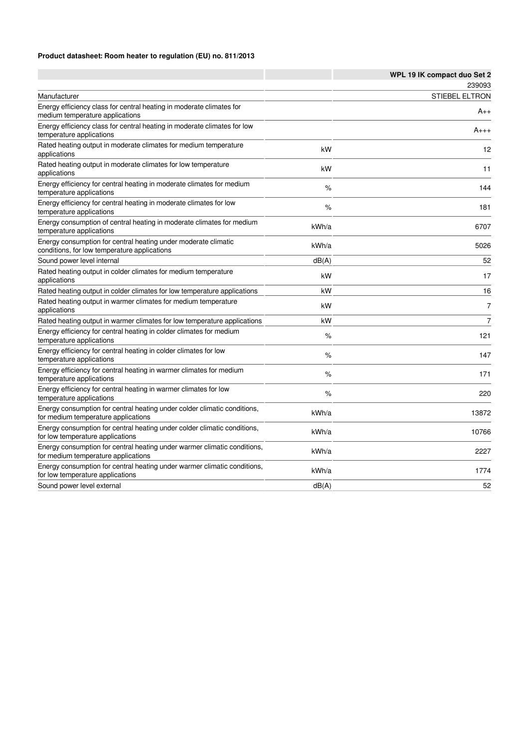#### **Product datasheet: Room heater to regulation (EU) no. 811/2013**

|                                                                                                                 |       | WPL 19 IK compact duo Set 2 |
|-----------------------------------------------------------------------------------------------------------------|-------|-----------------------------|
|                                                                                                                 |       | 239093                      |
| Manufacturer                                                                                                    |       | <b>STIEBEL ELTRON</b>       |
| Energy efficiency class for central heating in moderate climates for<br>medium temperature applications         |       | $A_{++}$                    |
| Energy efficiency class for central heating in moderate climates for low<br>temperature applications            |       | $A_{+++}$                   |
| Rated heating output in moderate climates for medium temperature<br>applications                                | kW    | 12                          |
| Rated heating output in moderate climates for low temperature<br>applications                                   | kW    | 11                          |
| Energy efficiency for central heating in moderate climates for medium<br>temperature applications               | %     | 144                         |
| Energy efficiency for central heating in moderate climates for low<br>temperature applications                  | $\%$  | 181                         |
| Energy consumption of central heating in moderate climates for medium<br>temperature applications               | kWh/a | 6707                        |
| Energy consumption for central heating under moderate climatic<br>conditions, for low temperature applications  | kWh/a | 5026                        |
| Sound power level internal                                                                                      | dB(A) | 52                          |
| Rated heating output in colder climates for medium temperature<br>applications                                  | kW    | 17                          |
| Rated heating output in colder climates for low temperature applications                                        | kW    | 16                          |
| Rated heating output in warmer climates for medium temperature<br>applications                                  | kW    | $\overline{7}$              |
| Rated heating output in warmer climates for low temperature applications                                        | kW    | $\overline{7}$              |
| Energy efficiency for central heating in colder climates for medium<br>temperature applications                 | %     | 121                         |
| Energy efficiency for central heating in colder climates for low<br>temperature applications                    | $\%$  | 147                         |
| Energy efficiency for central heating in warmer climates for medium<br>temperature applications                 | $\%$  | 171                         |
| Energy efficiency for central heating in warmer climates for low<br>temperature applications                    | %     | 220                         |
| Energy consumption for central heating under colder climatic conditions,<br>for medium temperature applications | kWh/a | 13872                       |
| Energy consumption for central heating under colder climatic conditions,<br>for low temperature applications    | kWh/a | 10766                       |
| Energy consumption for central heating under warmer climatic conditions,<br>for medium temperature applications | kWh/a | 2227                        |
| Energy consumption for central heating under warmer climatic conditions,<br>for low temperature applications    | kWh/a | 1774                        |
| Sound power level external                                                                                      | dB(A) | 52                          |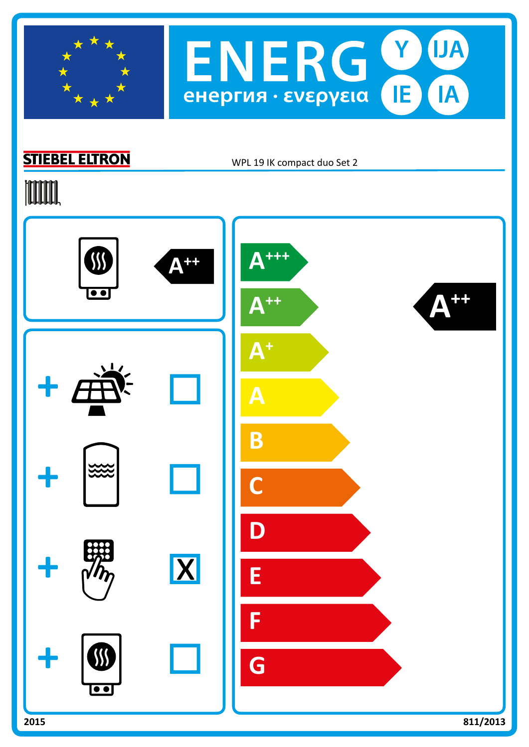

### **STIEBEL ELTRON**

WPL 19 IK compact duo Set 2

# **TOOTAL**



**IJA** 

IA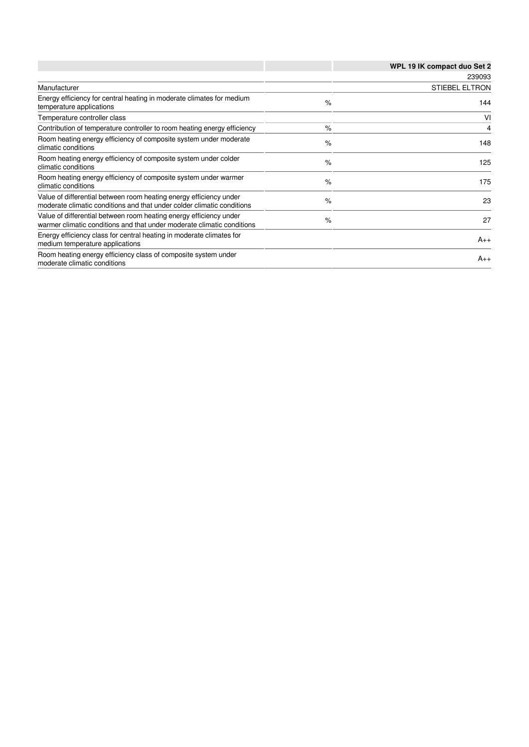|                                                                                                                                              |      | WPL 19 IK compact duo Set 2 |
|----------------------------------------------------------------------------------------------------------------------------------------------|------|-----------------------------|
|                                                                                                                                              |      | 239093                      |
| Manufacturer                                                                                                                                 |      | <b>STIEBEL ELTRON</b>       |
| Energy efficiency for central heating in moderate climates for medium<br>temperature applications                                            | %    | 144                         |
| Temperature controller class                                                                                                                 |      | VI                          |
| Contribution of temperature controller to room heating energy efficiency                                                                     | $\%$ | 4                           |
| Room heating energy efficiency of composite system under moderate<br>climatic conditions                                                     | $\%$ | 148                         |
| Room heating energy efficiency of composite system under colder<br>climatic conditions                                                       | $\%$ | 125                         |
| Room heating energy efficiency of composite system under warmer<br>climatic conditions                                                       | $\%$ | 175                         |
| Value of differential between room heating energy efficiency under<br>moderate climatic conditions and that under colder climatic conditions | $\%$ | 23                          |
| Value of differential between room heating energy efficiency under<br>warmer climatic conditions and that under moderate climatic conditions | $\%$ | 27                          |
| Energy efficiency class for central heating in moderate climates for<br>medium temperature applications                                      |      | $A_{++}$                    |
| Room heating energy efficiency class of composite system under<br>moderate climatic conditions                                               |      | $A_{++}$                    |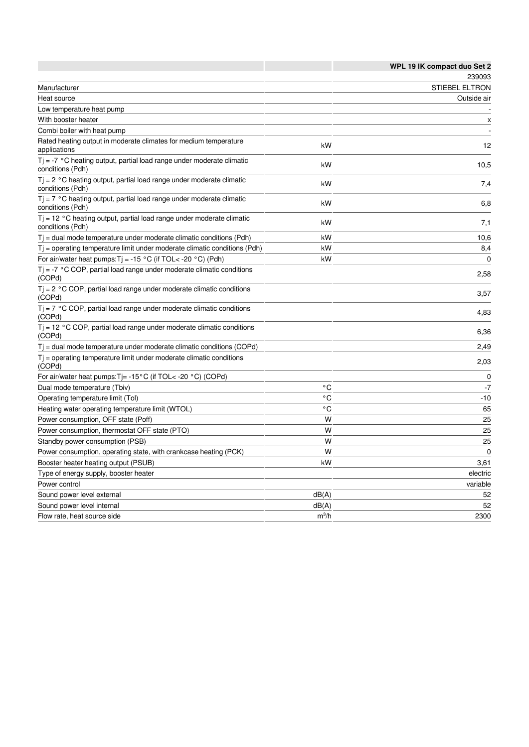|                                                                                                       |              | WPL 19 IK compact duo Set 2 |
|-------------------------------------------------------------------------------------------------------|--------------|-----------------------------|
|                                                                                                       |              | 239093                      |
| Manufacturer                                                                                          |              | <b>STIEBEL ELTRON</b>       |
| Heat source                                                                                           |              | Outside air                 |
| Low temperature heat pump                                                                             |              |                             |
| With booster heater                                                                                   |              | $\boldsymbol{\mathsf{x}}$   |
| Combi boiler with heat pump                                                                           |              |                             |
| Rated heating output in moderate climates for medium temperature<br>applications                      | kW           | 12                          |
| $T_i$ = -7 $\degree$ C heating output, partial load range under moderate climatic<br>conditions (Pdh) | kW           | 10,5                        |
| $Tj = 2$ °C heating output, partial load range under moderate climatic<br>conditions (Pdh)            | kW           | 7,4                         |
| $T_i$ = 7 °C heating output, partial load range under moderate climatic<br>conditions (Pdh)           | kW           | 6,8                         |
| $Tj = 12$ °C heating output, partial load range under moderate climatic<br>conditions (Pdh)           | kW           | 7,1                         |
| $T_i$ = dual mode temperature under moderate climatic conditions (Pdh)                                | kW           | 10,6                        |
| $T_i$ = operating temperature limit under moderate climatic conditions (Pdh)                          | kW           | 8,4                         |
| For air/water heat pumps: $Tj = -15$ °C (if TOL< -20 °C) (Pdh)                                        | kW           | $\mathbf{0}$                |
| $T_i$ = -7 °C COP, partial load range under moderate climatic conditions<br>(COPd)                    |              | 2,58                        |
| $Tj = 2$ °C COP, partial load range under moderate climatic conditions<br>(COPd)                      |              | 3,57                        |
| $T_i$ = 7 °C COP, partial load range under moderate climatic conditions<br>(COPd)                     |              | 4,83                        |
| $T$ = 12 °C COP, partial load range under moderate climatic conditions<br>(COPd)                      |              | 6,36                        |
| $T_i$ = dual mode temperature under moderate climatic conditions (COPd)                               |              | 2,49                        |
| $T_i$ = operating temperature limit under moderate climatic conditions<br>(COPd)                      |              | 2,03                        |
| For air/water heat pumps: $Tj = -15^{\circ}C$ (if TOL< -20 $^{\circ}C$ ) (COPd)                       |              | $\Omega$                    |
| Dual mode temperature (Tbiv)                                                                          | ۰c           | -7                          |
| Operating temperature limit (Tol)                                                                     | $^{\circ}$ C | $-10$                       |
| Heating water operating temperature limit (WTOL)                                                      | $^{\circ}$ C | 65                          |
| Power consumption, OFF state (Poff)                                                                   | W            | 25                          |
| Power consumption, thermostat OFF state (PTO)                                                         | W            | 25                          |
| Standby power consumption (PSB)                                                                       | W            | 25                          |
| Power consumption, operating state, with crankcase heating (PCK)                                      | W            | $\mathbf 0$                 |
| Booster heater heating output (PSUB)                                                                  | kW           | 3,61                        |
| Type of energy supply, booster heater                                                                 |              | electric                    |
| Power control                                                                                         |              | variable                    |
| Sound power level external                                                                            | dB(A)        | 52                          |
| Sound power level internal                                                                            | dB(A)        | 52                          |
| Flow rate, heat source side                                                                           | $m^3/h$      | 2300                        |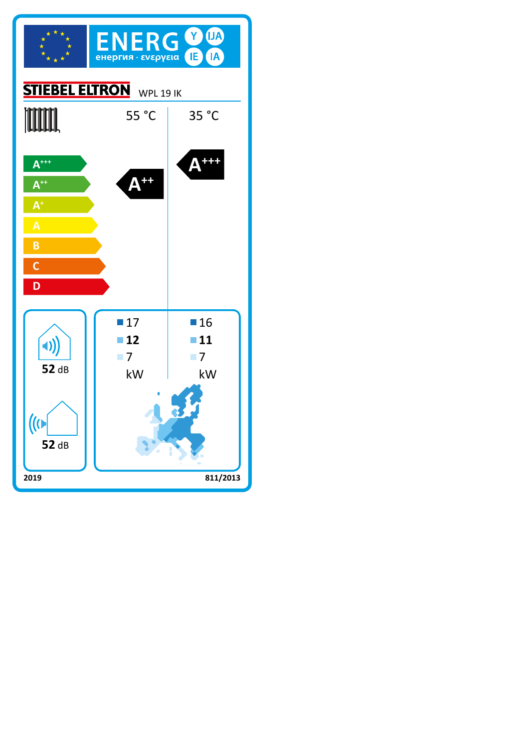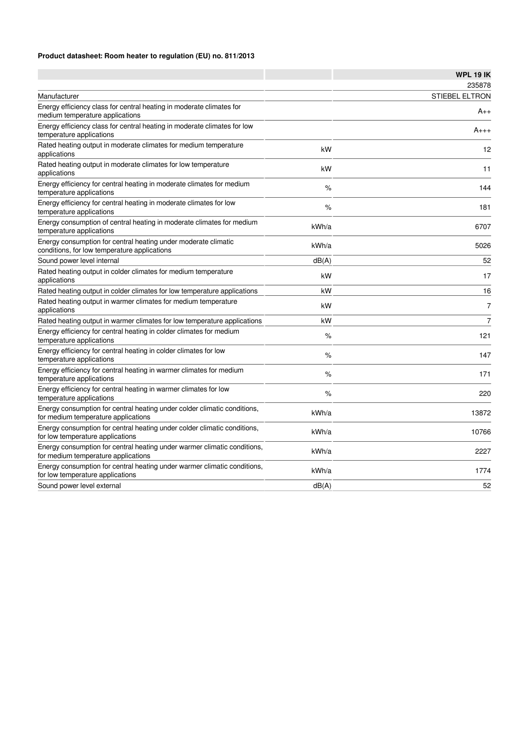#### **Product datasheet: Room heater to regulation (EU) no. 811/2013**

|                                                                                                                 |       | <b>WPL 19 IK</b>      |
|-----------------------------------------------------------------------------------------------------------------|-------|-----------------------|
|                                                                                                                 |       | 235878                |
| Manufacturer                                                                                                    |       | <b>STIEBEL ELTRON</b> |
| Energy efficiency class for central heating in moderate climates for<br>medium temperature applications         |       | $A_{++}$              |
| Energy efficiency class for central heating in moderate climates for low<br>temperature applications            |       | $A_{+++}$             |
| Rated heating output in moderate climates for medium temperature<br>applications                                | kW    | 12                    |
| Rated heating output in moderate climates for low temperature<br>applications                                   | kW    | 11                    |
| Energy efficiency for central heating in moderate climates for medium<br>temperature applications               | $\%$  | 144                   |
| Energy efficiency for central heating in moderate climates for low<br>temperature applications                  | %     | 181                   |
| Energy consumption of central heating in moderate climates for medium<br>temperature applications               | kWh/a | 6707                  |
| Energy consumption for central heating under moderate climatic<br>conditions, for low temperature applications  | kWh/a | 5026                  |
| Sound power level internal                                                                                      | dB(A) | 52                    |
| Rated heating output in colder climates for medium temperature<br>applications                                  | kW    | 17                    |
| Rated heating output in colder climates for low temperature applications                                        | kW    | 16                    |
| Rated heating output in warmer climates for medium temperature<br>applications                                  | kW    | $\overline{7}$        |
| Rated heating output in warmer climates for low temperature applications                                        | kW    | $\overline{7}$        |
| Energy efficiency for central heating in colder climates for medium<br>temperature applications                 | %     | 121                   |
| Energy efficiency for central heating in colder climates for low<br>temperature applications                    | $\%$  | 147                   |
| Energy efficiency for central heating in warmer climates for medium<br>temperature applications                 | %     | 171                   |
| Energy efficiency for central heating in warmer climates for low<br>temperature applications                    | %     | 220                   |
| Energy consumption for central heating under colder climatic conditions,<br>for medium temperature applications | kWh/a | 13872                 |
| Energy consumption for central heating under colder climatic conditions,<br>for low temperature applications    | kWh/a | 10766                 |
| Energy consumption for central heating under warmer climatic conditions,<br>for medium temperature applications | kWh/a | 2227                  |
| Energy consumption for central heating under warmer climatic conditions,<br>for low temperature applications    | kWh/a | 1774                  |
| Sound power level external                                                                                      | dB(A) | 52                    |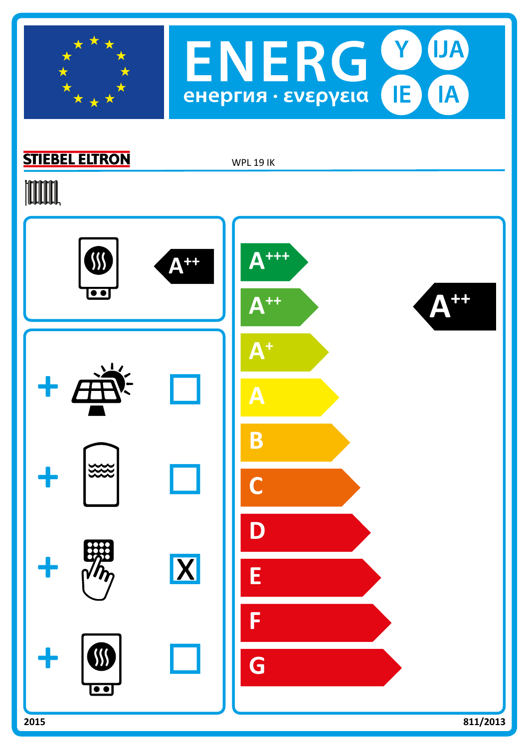



## **STIEBEL ELTRON**

WPL 19 IK

## **TOOTAL**

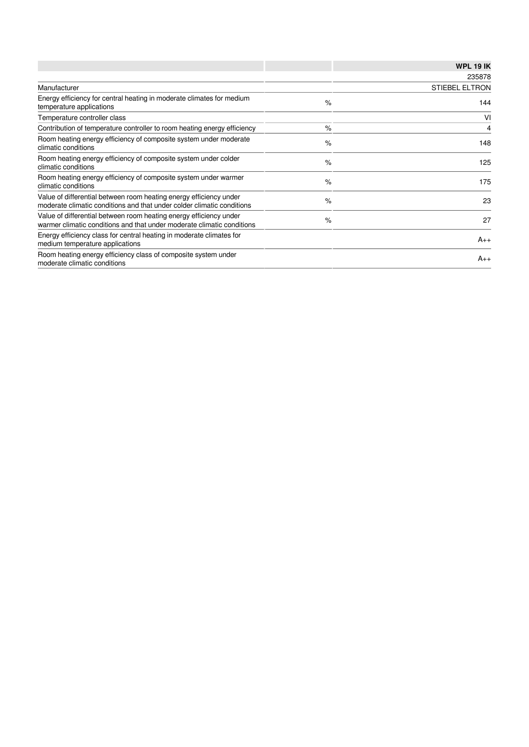|                                                                                                                                              |               | <b>WPL 19 IK</b>      |
|----------------------------------------------------------------------------------------------------------------------------------------------|---------------|-----------------------|
|                                                                                                                                              |               | 235878                |
| Manufacturer                                                                                                                                 |               | <b>STIEBEL ELTRON</b> |
| Energy efficiency for central heating in moderate climates for medium<br>temperature applications                                            | $\%$          | 144                   |
| Temperature controller class                                                                                                                 |               | VI                    |
| Contribution of temperature controller to room heating energy efficiency                                                                     | $\%$          | 4                     |
| Room heating energy efficiency of composite system under moderate<br>climatic conditions                                                     | $\%$          | 148                   |
| Room heating energy efficiency of composite system under colder<br>climatic conditions                                                       | $\frac{9}{6}$ | 125                   |
| Room heating energy efficiency of composite system under warmer<br>climatic conditions                                                       | $\%$          | 175                   |
| Value of differential between room heating energy efficiency under<br>moderate climatic conditions and that under colder climatic conditions | $\%$          | 23                    |
| Value of differential between room heating energy efficiency under<br>warmer climatic conditions and that under moderate climatic conditions | $\%$          | 27                    |
| Energy efficiency class for central heating in moderate climates for<br>medium temperature applications                                      |               | $A_{++}$              |
| Room heating energy efficiency class of composite system under<br>moderate climatic conditions                                               |               | $A_{++}$              |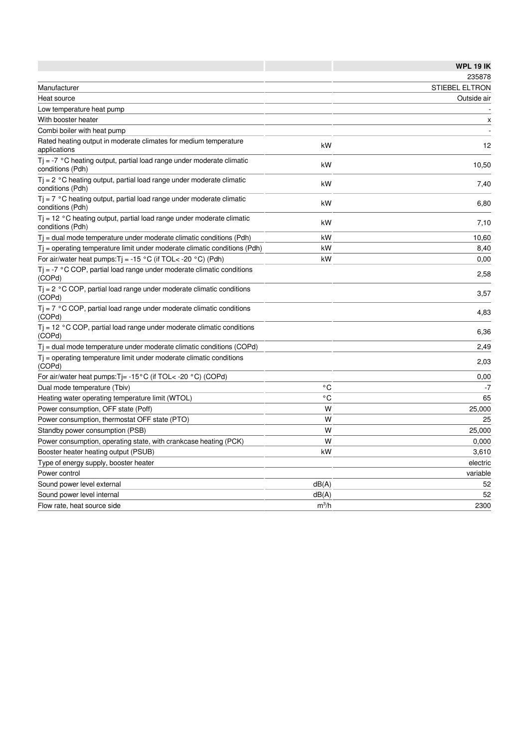|                                                                                             |              | <b>WPL 19 IK</b>      |
|---------------------------------------------------------------------------------------------|--------------|-----------------------|
|                                                                                             |              | 235878                |
| Manufacturer                                                                                |              | <b>STIEBEL ELTRON</b> |
| Heat source                                                                                 |              | Outside air           |
| Low temperature heat pump                                                                   |              |                       |
| With booster heater                                                                         |              | x                     |
| Combi boiler with heat pump                                                                 |              |                       |
| Rated heating output in moderate climates for medium temperature<br>applications            | kW           | 12                    |
| $Tj = -7$ °C heating output, partial load range under moderate climatic<br>conditions (Pdh) | kW           | 10,50                 |
| $Tj = 2$ °C heating output, partial load range under moderate climatic<br>conditions (Pdh)  | kW           | 7,40                  |
| $T_i$ = 7 °C heating output, partial load range under moderate climatic<br>conditions (Pdh) | kW           | 6,80                  |
| $Ti = 12 °C$ heating output, partial load range under moderate climatic<br>conditions (Pdh) | kW           | 7,10                  |
| $T_i$ = dual mode temperature under moderate climatic conditions (Pdh)                      | kW           | 10,60                 |
| $T_i$ = operating temperature limit under moderate climatic conditions (Pdh)                | kW           | 8,40                  |
| For air/water heat pumps: $Tj = -15 °C$ (if TOL< -20 °C) (Pdh)                              | kW           | 0,00                  |
| $T_i$ = -7 °C COP, partial load range under moderate climatic conditions<br>(COPd)          |              | 2,58                  |
| $Tj = 2$ °C COP, partial load range under moderate climatic conditions<br>(COPd)            |              | 3,57                  |
| $T_i$ = 7 °C COP, partial load range under moderate climatic conditions<br>(COPd)           |              | 4,83                  |
| $T$ $i = 12$ °C COP, partial load range under moderate climatic conditions<br>(COPd)        |              | 6,36                  |
| $Tj$ = dual mode temperature under moderate climatic conditions (COPd)                      |              | 2,49                  |
| $T_i$ = operating temperature limit under moderate climatic conditions<br>(COPd)            |              | 2,03                  |
| For air/water heat pumps: $Tj = -15^{\circ}C$ (if TOL< -20 $^{\circ}C$ ) (COPd)             |              | 0,00                  |
| Dual mode temperature (Tbiv)                                                                | ۰c           | -7                    |
| Heating water operating temperature limit (WTOL)                                            | $^{\circ}$ C | 65                    |
| Power consumption, OFF state (Poff)                                                         | W            | 25,000                |
| Power consumption, thermostat OFF state (PTO)                                               | W            | 25                    |
| Standby power consumption (PSB)                                                             | W            | 25,000                |
| Power consumption, operating state, with crankcase heating (PCK)                            | W            | 0,000                 |
| Booster heater heating output (PSUB)                                                        | kW           | 3,610                 |
| Type of energy supply, booster heater                                                       |              | electric              |
| Power control                                                                               |              | variable              |
| Sound power level external                                                                  | dB(A)        | 52                    |
| Sound power level internal                                                                  | dB(A)        | 52                    |
| Flow rate, heat source side                                                                 | $m^3/h$      | 2300                  |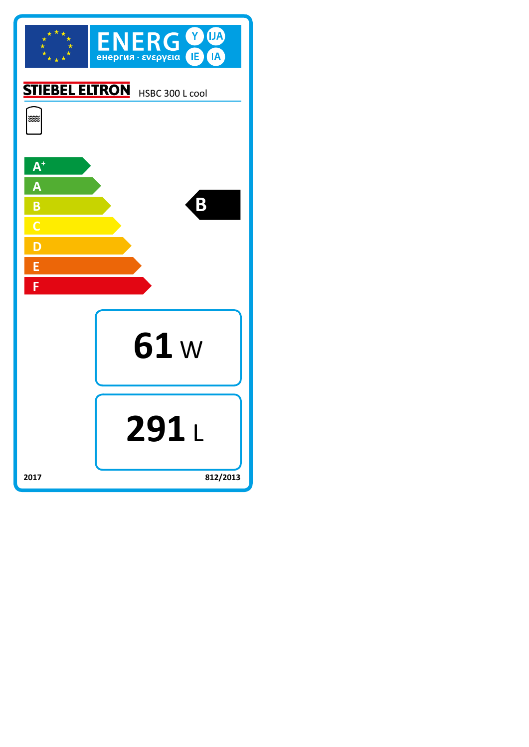